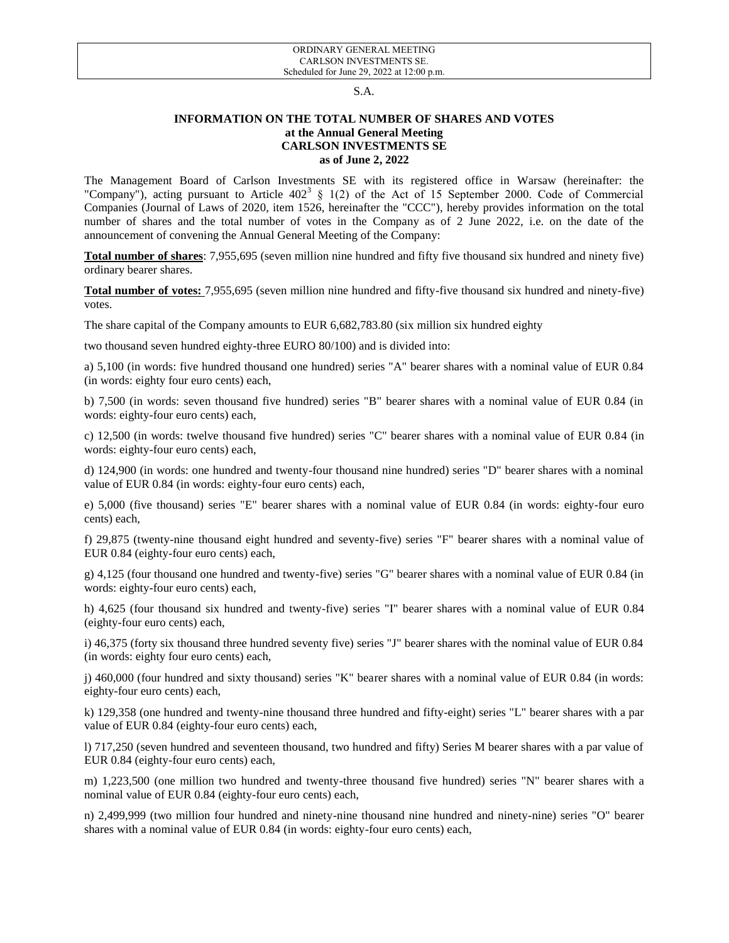## S.A.

## **INFORMATION ON THE TOTAL NUMBER OF SHARES AND VOTES at the Annual General Meeting CARLSON INVESTMENTS SE as of June 2, 2022**

The Management Board of Carlson Investments SE with its registered office in Warsaw (hereinafter: the "Company"), acting pursuant to Article  $402^3 \t S 1(2)$  of the Act of 15 September 2000. Code of Commercial Companies (Journal of Laws of 2020, item 1526, hereinafter the "CCC"), hereby provides information on the total number of shares and the total number of votes in the Company as of 2 June 2022, i.e. on the date of the announcement of convening the Annual General Meeting of the Company:

**Total number of shares**: 7,955,695 (seven million nine hundred and fifty five thousand six hundred and ninety five) ordinary bearer shares.

**Total number of votes:** 7,955,695 (seven million nine hundred and fifty-five thousand six hundred and ninety-five) votes.

The share capital of the Company amounts to EUR 6,682,783.80 (six million six hundred eighty

two thousand seven hundred eighty-three EURO 80/100) and is divided into:

a) 5,100 (in words: five hundred thousand one hundred) series "A" bearer shares with a nominal value of EUR 0.84 (in words: eighty four euro cents) each,

b) 7,500 (in words: seven thousand five hundred) series "B" bearer shares with a nominal value of EUR 0.84 (in words: eighty-four euro cents) each,

c) 12,500 (in words: twelve thousand five hundred) series "C" bearer shares with a nominal value of EUR 0.84 (in words: eighty-four euro cents) each,

d) 124,900 (in words: one hundred and twenty-four thousand nine hundred) series "D" bearer shares with a nominal value of EUR 0.84 (in words: eighty-four euro cents) each,

e) 5,000 (five thousand) series "E" bearer shares with a nominal value of EUR 0.84 (in words: eighty-four euro cents) each,

f) 29,875 (twenty-nine thousand eight hundred and seventy-five) series "F" bearer shares with a nominal value of EUR 0.84 (eighty-four euro cents) each,

g) 4,125 (four thousand one hundred and twenty-five) series "G" bearer shares with a nominal value of EUR 0.84 (in words: eighty-four euro cents) each,

h) 4,625 (four thousand six hundred and twenty-five) series "I" bearer shares with a nominal value of EUR 0.84 (eighty-four euro cents) each,

i) 46,375 (forty six thousand three hundred seventy five) series "J" bearer shares with the nominal value of EUR 0.84 (in words: eighty four euro cents) each,

j) 460,000 (four hundred and sixty thousand) series "K" bearer shares with a nominal value of EUR 0.84 (in words: eighty-four euro cents) each,

k) 129,358 (one hundred and twenty-nine thousand three hundred and fifty-eight) series "L" bearer shares with a par value of EUR 0.84 (eighty-four euro cents) each,

l) 717,250 (seven hundred and seventeen thousand, two hundred and fifty) Series M bearer shares with a par value of EUR 0.84 (eighty-four euro cents) each,

m) 1,223,500 (one million two hundred and twenty-three thousand five hundred) series "N" bearer shares with a nominal value of EUR 0.84 (eighty-four euro cents) each,

n) 2,499,999 (two million four hundred and ninety-nine thousand nine hundred and ninety-nine) series "O" bearer shares with a nominal value of EUR 0.84 (in words: eighty-four euro cents) each,